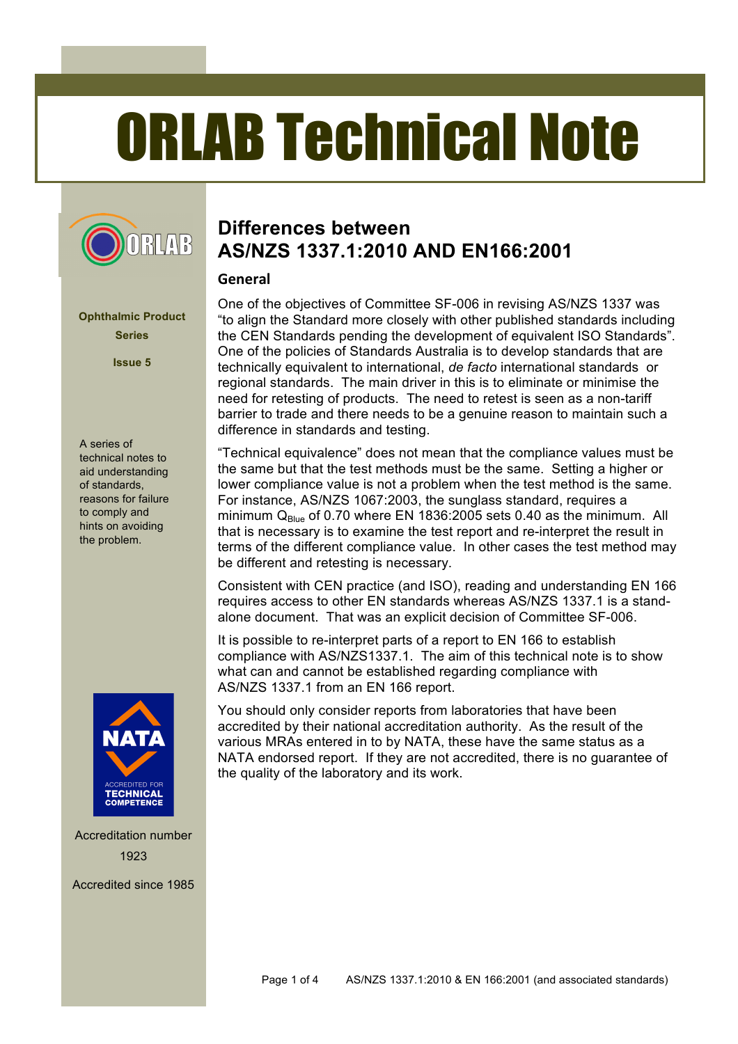# ORLAB Technical Note



**Ophthalmic Product Series**

**Issue 5**

A series of technical notes to aid understanding of standards, reasons for failure to comply and hints on avoiding the problem.



Accreditation number 1923

Accredited since 1985

## **Differences between AS/NZS 1337.1:2010 AND EN166:2001**

#### **General**

One of the objectives of Committee SF-006 in revising AS/NZS 1337 was "to align the Standard more closely with other published standards including the CEN Standards pending the development of equivalent ISO Standards". One of the policies of Standards Australia is to develop standards that are technically equivalent to international, *de facto* international standards or regional standards. The main driver in this is to eliminate or minimise the need for retesting of products. The need to retest is seen as a non-tariff barrier to trade and there needs to be a genuine reason to maintain such a difference in standards and testing.

"Technical equivalence" does not mean that the compliance values must be the same but that the test methods must be the same. Setting a higher or lower compliance value is not a problem when the test method is the same. For instance, AS/NZS 1067:2003, the sunglass standard, requires a minimum  $Q_{Blue}$  of 0.70 where EN 1836:2005 sets 0.40 as the minimum. All that is necessary is to examine the test report and re-interpret the result in terms of the different compliance value. In other cases the test method may be different and retesting is necessary.

Consistent with CEN practice (and ISO), reading and understanding EN 166 requires access to other EN standards whereas AS/NZS 1337.1 is a standalone document. That was an explicit decision of Committee SF-006.

It is possible to re-interpret parts of a report to EN 166 to establish compliance with AS/NZS1337.1. The aim of this technical note is to show what can and cannot be established regarding compliance with AS/NZS 1337.1 from an EN 166 report.

You should only consider reports from laboratories that have been accredited by their national accreditation authority. As the result of the various MRAs entered in to by NATA, these have the same status as a NATA endorsed report. If they are not accredited, there is no guarantee of the quality of the laboratory and its work.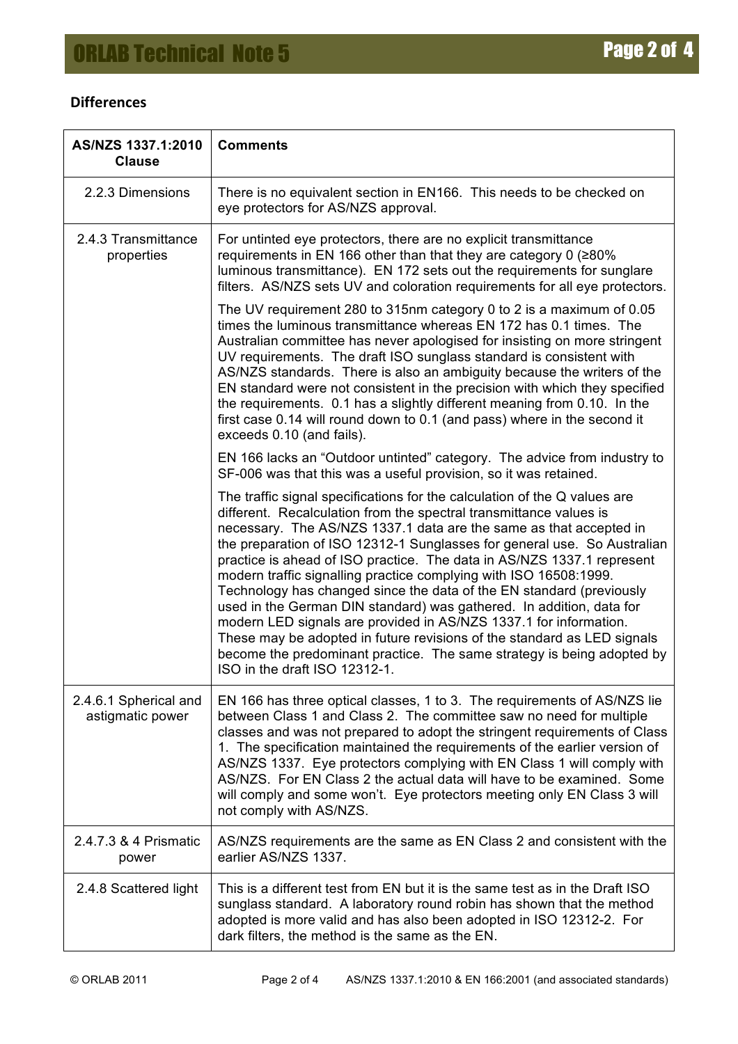### **Differences**

| AS/NZS 1337.1:2010<br><b>Clause</b>       | <b>Comments</b>                                                                                                                                                                                                                                                                                                                                                                                                                                                                                                                                                                                                                                                                                                                                                                                                                                             |  |  |
|-------------------------------------------|-------------------------------------------------------------------------------------------------------------------------------------------------------------------------------------------------------------------------------------------------------------------------------------------------------------------------------------------------------------------------------------------------------------------------------------------------------------------------------------------------------------------------------------------------------------------------------------------------------------------------------------------------------------------------------------------------------------------------------------------------------------------------------------------------------------------------------------------------------------|--|--|
| 2.2.3 Dimensions                          | There is no equivalent section in EN166. This needs to be checked on<br>eye protectors for AS/NZS approval.                                                                                                                                                                                                                                                                                                                                                                                                                                                                                                                                                                                                                                                                                                                                                 |  |  |
| 2.4.3 Transmittance<br>properties         | For untinted eye protectors, there are no explicit transmittance<br>requirements in EN 166 other than that they are category 0 ( $\geq 80\%$ )<br>luminous transmittance). EN 172 sets out the requirements for sunglare<br>filters. AS/NZS sets UV and coloration requirements for all eye protectors.                                                                                                                                                                                                                                                                                                                                                                                                                                                                                                                                                     |  |  |
|                                           | The UV requirement 280 to 315nm category 0 to 2 is a maximum of 0.05<br>times the luminous transmittance whereas EN 172 has 0.1 times. The<br>Australian committee has never apologised for insisting on more stringent<br>UV requirements. The draft ISO sunglass standard is consistent with<br>AS/NZS standards. There is also an ambiguity because the writers of the<br>EN standard were not consistent in the precision with which they specified<br>the requirements. 0.1 has a slightly different meaning from 0.10. In the<br>first case 0.14 will round down to 0.1 (and pass) where in the second it<br>exceeds 0.10 (and fails).                                                                                                                                                                                                                |  |  |
|                                           | EN 166 lacks an "Outdoor untinted" category. The advice from industry to<br>SF-006 was that this was a useful provision, so it was retained.                                                                                                                                                                                                                                                                                                                                                                                                                                                                                                                                                                                                                                                                                                                |  |  |
|                                           | The traffic signal specifications for the calculation of the Q values are<br>different. Recalculation from the spectral transmittance values is<br>necessary. The AS/NZS 1337.1 data are the same as that accepted in<br>the preparation of ISO 12312-1 Sunglasses for general use. So Australian<br>practice is ahead of ISO practice. The data in AS/NZS 1337.1 represent<br>modern traffic signalling practice complying with ISO 16508:1999.<br>Technology has changed since the data of the EN standard (previously<br>used in the German DIN standard) was gathered. In addition, data for<br>modern LED signals are provided in AS/NZS 1337.1 for information.<br>These may be adopted in future revisions of the standard as LED signals<br>become the predominant practice. The same strategy is being adopted by<br>ISO in the draft ISO 12312-1. |  |  |
| 2.4.6.1 Spherical and<br>astigmatic power | EN 166 has three optical classes, 1 to 3. The requirements of AS/NZS lie<br>between Class 1 and Class 2. The committee saw no need for multiple<br>classes and was not prepared to adopt the stringent requirements of Class<br>1. The specification maintained the requirements of the earlier version of<br>AS/NZS 1337. Eye protectors complying with EN Class 1 will comply with<br>AS/NZS. For EN Class 2 the actual data will have to be examined. Some<br>will comply and some won't. Eye protectors meeting only EN Class 3 will<br>not comply with AS/NZS.                                                                                                                                                                                                                                                                                         |  |  |
| 2.4.7.3 & 4 Prismatic<br>power            | AS/NZS requirements are the same as EN Class 2 and consistent with the<br>earlier AS/NZS 1337.                                                                                                                                                                                                                                                                                                                                                                                                                                                                                                                                                                                                                                                                                                                                                              |  |  |
| 2.4.8 Scattered light                     | This is a different test from EN but it is the same test as in the Draft ISO<br>sunglass standard. A laboratory round robin has shown that the method<br>adopted is more valid and has also been adopted in ISO 12312-2. For<br>dark filters, the method is the same as the EN.                                                                                                                                                                                                                                                                                                                                                                                                                                                                                                                                                                             |  |  |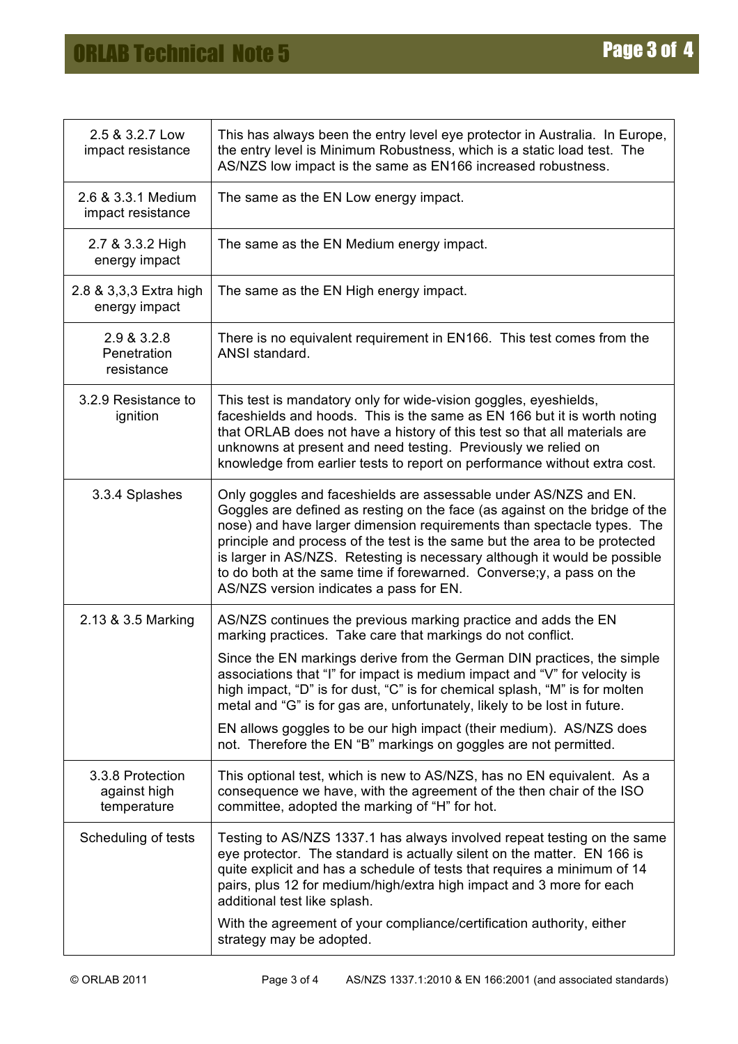| 2.5 & 3.2.7 Low<br>impact resistance            | This has always been the entry level eye protector in Australia. In Europe,<br>the entry level is Minimum Robustness, which is a static load test. The<br>AS/NZS low impact is the same as EN166 increased robustness.                                                                                                                                                                                                                                                                                                                                                                      |  |  |
|-------------------------------------------------|---------------------------------------------------------------------------------------------------------------------------------------------------------------------------------------------------------------------------------------------------------------------------------------------------------------------------------------------------------------------------------------------------------------------------------------------------------------------------------------------------------------------------------------------------------------------------------------------|--|--|
| 2.6 & 3.3.1 Medium<br>impact resistance         | The same as the EN Low energy impact.                                                                                                                                                                                                                                                                                                                                                                                                                                                                                                                                                       |  |  |
| 2.7 & 3.3.2 High<br>energy impact               | The same as the EN Medium energy impact.                                                                                                                                                                                                                                                                                                                                                                                                                                                                                                                                                    |  |  |
| 2.8 & 3,3,3 Extra high<br>energy impact         | The same as the EN High energy impact.                                                                                                                                                                                                                                                                                                                                                                                                                                                                                                                                                      |  |  |
| 2.9 & 3.2.8<br>Penetration<br>resistance        | There is no equivalent requirement in EN166. This test comes from the<br>ANSI standard.                                                                                                                                                                                                                                                                                                                                                                                                                                                                                                     |  |  |
| 3.2.9 Resistance to<br>ignition                 | This test is mandatory only for wide-vision goggles, eyeshields,<br>faceshields and hoods. This is the same as EN 166 but it is worth noting<br>that ORLAB does not have a history of this test so that all materials are<br>unknowns at present and need testing. Previously we relied on<br>knowledge from earlier tests to report on performance without extra cost.                                                                                                                                                                                                                     |  |  |
| 3.3.4 Splashes                                  | Only goggles and faceshields are assessable under AS/NZS and EN.<br>Goggles are defined as resting on the face (as against on the bridge of the<br>nose) and have larger dimension requirements than spectacle types. The<br>principle and process of the test is the same but the area to be protected<br>is larger in AS/NZS. Retesting is necessary although it would be possible<br>to do both at the same time if forewarned. Converse; y, a pass on the<br>AS/NZS version indicates a pass for EN.                                                                                    |  |  |
| 2.13 & 3.5 Marking                              | AS/NZS continues the previous marking practice and adds the EN<br>marking practices. Take care that markings do not conflict.<br>Since the EN markings derive from the German DIN practices, the simple<br>associations that "I" for impact is medium impact and "V" for velocity is<br>high impact, "D" is for dust, "C" is for chemical splash, "M" is for molten<br>metal and "G" is for gas are, unfortunately, likely to be lost in future.<br>EN allows goggles to be our high impact (their medium). AS/NZS does<br>not. Therefore the EN "B" markings on goggles are not permitted. |  |  |
| 3.3.8 Protection<br>against high<br>temperature | This optional test, which is new to AS/NZS, has no EN equivalent. As a<br>consequence we have, with the agreement of the then chair of the ISO<br>committee, adopted the marking of "H" for hot.                                                                                                                                                                                                                                                                                                                                                                                            |  |  |
| Scheduling of tests                             | Testing to AS/NZS 1337.1 has always involved repeat testing on the same<br>eye protector. The standard is actually silent on the matter. EN 166 is<br>quite explicit and has a schedule of tests that requires a minimum of 14<br>pairs, plus 12 for medium/high/extra high impact and 3 more for each<br>additional test like splash.                                                                                                                                                                                                                                                      |  |  |
|                                                 | With the agreement of your compliance/certification authority, either<br>strategy may be adopted.                                                                                                                                                                                                                                                                                                                                                                                                                                                                                           |  |  |